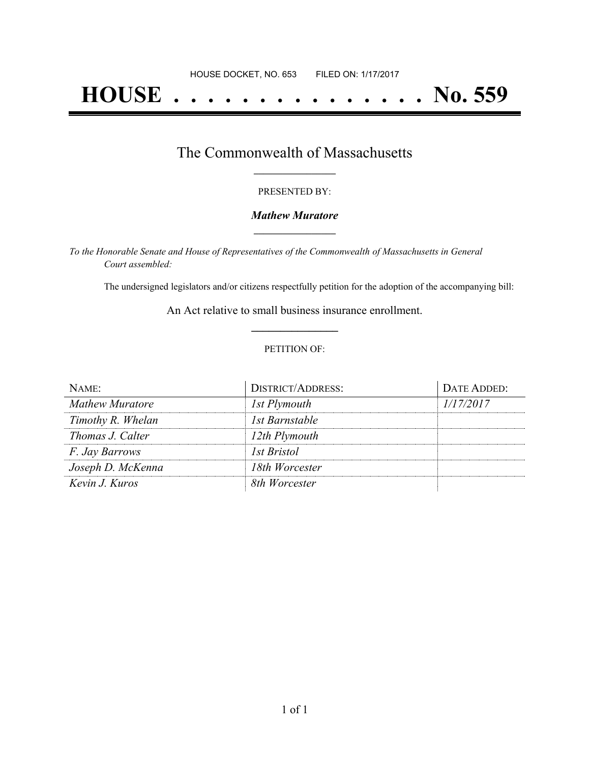# **HOUSE . . . . . . . . . . . . . . . No. 559**

## The Commonwealth of Massachusetts **\_\_\_\_\_\_\_\_\_\_\_\_\_\_\_\_\_**

#### PRESENTED BY:

#### *Mathew Muratore* **\_\_\_\_\_\_\_\_\_\_\_\_\_\_\_\_\_**

*To the Honorable Senate and House of Representatives of the Commonwealth of Massachusetts in General Court assembled:*

The undersigned legislators and/or citizens respectfully petition for the adoption of the accompanying bill:

An Act relative to small business insurance enrollment. **\_\_\_\_\_\_\_\_\_\_\_\_\_\_\_**

#### PETITION OF:

| $N$ AME:               | <b>DISTRICT/ADDRESS:</b> | DATE ADDED: |
|------------------------|--------------------------|-------------|
| <b>Mathew Muratore</b> | 1st Plymouth             | 1/17/2017   |
| Timothy R. Whelan      | 1st Barnstable           |             |
| Thomas J. Calter       | 12th Plymouth            |             |
| <i>F. Jay Barrows</i>  | 1st Bristol              |             |
| Joseph D. McKenna      | 18th Worcester           |             |
| Kevin J. Kuros         | 8th Worcester            |             |